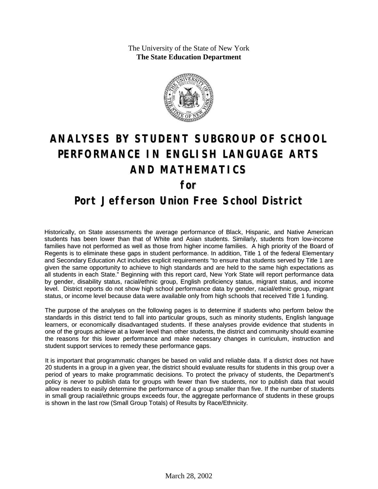The University of the State of New York **The State Education Department**



# **ANALYSES BY STUDENT SUBGROUP OF SCHOOL PERFORMANCE IN ENGLISH LANGUAGE ARTS AND MATHEMATICS for**

### **Port Jefferson Union Free School District**

Historically, on State assessments the average performance of Black, Hispanic, and Native American students has been lower than that of White and Asian students. Similarly, students from low-income families have not performed as well as those from higher income families. A high priority of the Board of Regents is to eliminate these gaps in student performance. In addition, Title 1 of the federal Elementary and Secondary Education Act includes explicit requirements "to ensure that students served by Title 1 are given the same opportunity to achieve to high standards and are held to the same high expectations as all students in each State." Beginning with this report card, New York State will report performance data by gender, disability status, racial/ethnic group, English proficiency status, migrant status, and income level. District reports do not show high school performance data by gender, racial/ethnic group, migrant status, or income level because data were available only from high schools that received Title 1 funding.

The purpose of the analyses on the following pages is to determine if students who perform below the standards in this district tend to fall into particular groups, such as minority students, English language learners, or economically disadvantaged students. If these analyses provide evidence that students in one of the groups achieve at a lower level than other students, the district and community should examine the reasons for this lower performance and make necessary changes in curriculum, instruction and student support services to remedy these performance gaps.

It is important that programmatic changes be based on valid and reliable data. If a district does not have 20 students in a group in a given year, the district should evaluate results for students in this group over a period of years to make programmatic decisions. To protect the privacy of students, the Department's policy is never to publish data for groups with fewer than five students, nor to publish data that would allow readers to easily determine the performance of a group smaller than five. If the number of students in small group racial/ethnic groups exceeds four, the aggregate performance of students in these groups is shown in the last row (Small Group Totals) of Results by Race/Ethnicity.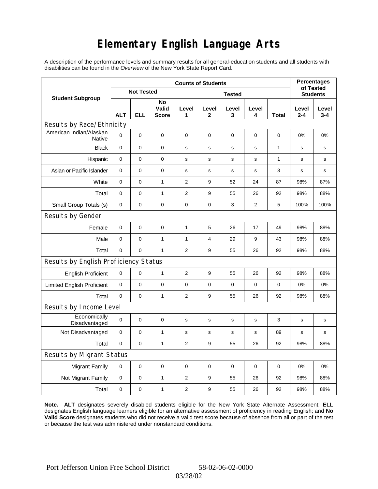# **Elementary English Language Arts**

A description of the performance levels and summary results for all general-education students and all students with disabilities can be found in the *Overview* of the New York State Report Card.

|                                          | <b>Counts of Students</b> |                   |                             |                |                |             |                 |              |                  | <b>Percentages</b><br>of Tested |  |
|------------------------------------------|---------------------------|-------------------|-----------------------------|----------------|----------------|-------------|-----------------|--------------|------------------|---------------------------------|--|
| <b>Student Subgroup</b>                  |                           | <b>Not Tested</b> |                             |                |                |             | <b>Students</b> |              |                  |                                 |  |
|                                          | <b>ALT</b>                | ELL               | No<br>Valid<br><b>Score</b> | Level<br>1     | Level<br>2     | Level<br>3  | Level<br>4      | Total        | Level<br>$2 - 4$ | Level<br>$3 - 4$                |  |
| Results by Race/Ethnicity                |                           |                   |                             |                |                |             |                 |              |                  |                                 |  |
| American Indian/Alaskan<br><b>Native</b> | $\mathbf 0$               | 0                 | 0                           | $\mathbf 0$    | $\mathbf 0$    | $\mathbf 0$ | 0               | 0            | 0%               | 0%                              |  |
| <b>Black</b>                             | $\mathbf 0$               | 0                 | 0                           | s              | s              | S           | s               | $\mathbf{1}$ | $\mathbf s$      | $\mathbf s$                     |  |
| Hispanic                                 | $\mathbf 0$               | 0                 | $\pmb{0}$                   | s              | s              | ${\tt S}$   | s               | $\mathbf{1}$ | s                | s                               |  |
| Asian or Pacific Islander                | 0                         | 0                 | 0                           | s              | s              | $\mathbf s$ | s               | 3            | $\mathbf s$      | s                               |  |
| White                                    | $\pmb{0}$                 | 0                 | $\mathbf{1}$                | 2              | 9              | 52          | 24              | 87           | 98%              | 87%                             |  |
| Total                                    | 0                         | 0                 | $\mathbf{1}$                | $\overline{2}$ | 9              | 55          | 26              | 92           | 98%              | 88%                             |  |
| Small Group Totals (s)                   | 0                         | 0                 | 0                           | 0              | 0              | 3           | 2               | 5            | 100%             | 100%                            |  |
| Results by Gender                        |                           |                   |                             |                |                |             |                 |              |                  |                                 |  |
| Female                                   | $\mathbf 0$               | 0                 | 0                           | $\mathbf{1}$   | 5              | 26          | 17              | 49           | 98%              | 88%                             |  |
| Male                                     | $\mathbf 0$               | 0                 | $\mathbf{1}$                | 1              | $\overline{4}$ | 29          | 9               | 43           | 98%              | 88%                             |  |
| Total                                    | 0                         | 0                 | $\mathbf{1}$                | $\overline{2}$ | 9              | 55          | 26              | 92           | 98%              | 88%                             |  |
| Results by English Proficiency Status    |                           |                   |                             |                |                |             |                 |              |                  |                                 |  |
| <b>English Proficient</b>                | 0                         | 0                 | $\mathbf{1}$                | $\overline{2}$ | 9              | 55          | 26              | 92           | 98%              | 88%                             |  |
| <b>Limited English Proficient</b>        | 0                         | 0                 | $\pmb{0}$                   | $\pmb{0}$      | $\mathbf 0$    | $\mathbf 0$ | $\mathbf 0$     | $\mathbf 0$  | 0%               | 0%                              |  |
| Total                                    | $\mathbf 0$               | 0                 | 1                           | $\overline{2}$ | 9              | 55          | 26              | 92           | 98%              | 88%                             |  |
| Results by Income Level                  |                           |                   |                             |                |                |             |                 |              |                  |                                 |  |
| Economically<br>Disadvantaged            | $\mathbf 0$               | 0                 | $\mathbf 0$                 | s              | $\mathbf s$    | $\mathbf s$ | s               | 3            | s                | $\mathbf s$                     |  |
| Not Disadvantaged                        | $\mathbf 0$               | 0                 | $\mathbf{1}$                | s              | s              | $\mathbf s$ | s               | 89           | s                | s                               |  |
| Total                                    | $\mathbf 0$               | $\Omega$          | $\mathbf{1}$                | 2              | 9              | 55          | 26              | 92           | 98%              | 88%                             |  |
| Results by Migrant Status                |                           |                   |                             |                |                |             |                 |              |                  |                                 |  |
| <b>Migrant Family</b>                    | 0                         | 0                 | $\pmb{0}$                   | 0              | 0              | $\mathbf 0$ | 0               | 0            | 0%               | 0%                              |  |
| Not Migrant Family                       | 0                         | 0                 | $\mathbf{1}$                | $\overline{2}$ | 9              | 55          | 26              | 92           | 98%              | 88%                             |  |
| Total                                    | 0                         | 0                 | $\mathbf{1}$                | $\overline{2}$ | 9              | 55          | 26              | 92           | 98%              | 88%                             |  |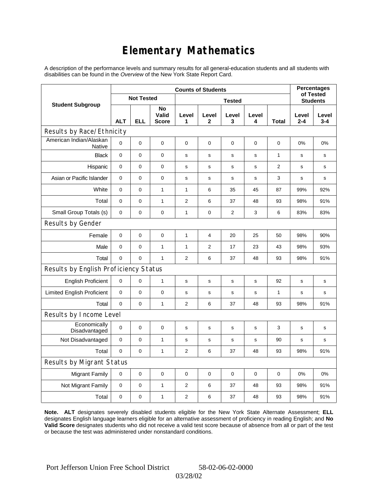# **Elementary Mathematics**

A description of the performance levels and summary results for all general-education students and all students with disabilities can be found in the *Overview* of the New York State Report Card.

|                                          | <b>Counts of Students</b> |                   |                             |                |                |             |             |                | <b>Percentages</b><br>of Tested |                  |
|------------------------------------------|---------------------------|-------------------|-----------------------------|----------------|----------------|-------------|-------------|----------------|---------------------------------|------------------|
| <b>Student Subgroup</b>                  |                           | <b>Not Tested</b> |                             | <b>Tested</b>  |                |             |             |                | <b>Students</b>                 |                  |
|                                          | <b>ALT</b>                | <b>ELL</b>        | No<br>Valid<br><b>Score</b> | Level<br>1     | Level<br>2     | Level<br>3  | Level<br>4  | Total          | Level<br>2-4                    | Level<br>$3 - 4$ |
| Results by Race/Ethnicity                |                           |                   |                             |                |                |             |             |                |                                 |                  |
| American Indian/Alaskan<br><b>Native</b> | 0                         | $\mathbf 0$       | $\mathbf 0$                 | $\mathbf 0$    | $\mathbf 0$    | $\mathbf 0$ | $\mathbf 0$ | $\mathbf 0$    | 0%                              | 0%               |
| <b>Black</b>                             | $\mathbf 0$               | $\mathbf 0$       | 0                           | s              | s              | s           | $\mathbf s$ | $\mathbf{1}$   | s                               | s                |
| Hispanic                                 | 0                         | $\mathbf 0$       | 0                           | s              | s              | s           | s           | $\overline{2}$ | s                               | s                |
| Asian or Pacific Islander                | $\mathbf 0$               | $\mathbf 0$       | $\pmb{0}$                   | $\mathbf S$    | $\mathbf S$    | $\mathbf s$ | $\mathbf s$ | 3              | $\mathbf s$                     | s                |
| White                                    | 0                         | 0                 | $\mathbf{1}$                | 1              | 6              | 35          | 45          | 87             | 99%                             | 92%              |
| Total                                    | 0                         | $\mathbf 0$       | $\mathbf{1}$                | $\overline{2}$ | 6              | 37          | 48          | 93             | 98%                             | 91%              |
| Small Group Totals (s)                   | 0                         | 0                 | 0                           | 1              | 0              | 2           | 3           | 6              | 83%                             | 83%              |
| Results by Gender                        |                           |                   |                             |                |                |             |             |                |                                 |                  |
| Female                                   | $\mathbf 0$               | 0                 | $\pmb{0}$                   | $\mathbf{1}$   | 4              | 20          | 25          | 50             | 98%                             | 90%              |
| Male                                     | $\mathbf 0$               | $\mathbf 0$       | $\mathbf{1}$                | $\mathbf{1}$   | $\overline{2}$ | 17          | 23          | 43             | 98%                             | 93%              |
| Total                                    | 0                         | 0                 | $\mathbf{1}$                | $\overline{2}$ | 6              | 37          | 48          | 93             | 98%                             | 91%              |
| Results by English Proficiency Status    |                           |                   |                             |                |                |             |             |                |                                 |                  |
| <b>English Proficient</b>                | 0                         | $\mathbf 0$       | $\mathbf{1}$                | $\mathbf S$    | ${\tt S}$      | ${\tt S}$   | $\mathbf s$ | 92             | s                               | s                |
| <b>Limited English Proficient</b>        | 0                         | 0                 | $\pmb{0}$                   | $\mathbf s$    | $\mathbf s$    | s           | $\mathbf s$ | 1              | s                               | s                |
| Total                                    | 0                         | $\pmb{0}$         | $\mathbf{1}$                | $\mathbf{2}$   | 6              | 37          | 48          | 93             | 98%                             | 91%              |
| Results by Income Level                  |                           |                   |                             |                |                |             |             |                |                                 |                  |
| Economically<br>Disadvantaged            | $\mathbf 0$               | 0                 | $\mathbf 0$                 | $\mathbf s$    | S              | s           | $\mathbf s$ | 3              | $\mathbf s$                     | $\mathbf s$      |
| Not Disadvantaged                        | $\mathbf 0$               | 0                 | $\mathbf{1}$                | $\mathbf s$    | s              | s           | s           | 90             | s                               | s                |
| Total                                    | $\mathbf 0$               | $\mathbf 0$       | $\mathbf{1}$                | $\overline{2}$ | 6              | 37          | 48          | 93             | 98%                             | 91%              |
| Results by Migrant Status                |                           |                   |                             |                |                |             |             |                |                                 |                  |
| <b>Migrant Family</b>                    | 0                         | $\mathbf 0$       | $\pmb{0}$                   | 0              | 0              | 0           | $\mathbf 0$ | 0              | 0%                              | 0%               |
| Not Migrant Family                       | 0                         | $\boldsymbol{0}$  | $\mathbf{1}$                | $\overline{c}$ | 6              | 37          | 48          | 93             | 98%                             | 91%              |
| Total                                    | 0                         | 0                 | $\mathbf{1}$                | 2              | 6              | 37          | 48          | 93             | 98%                             | 91%              |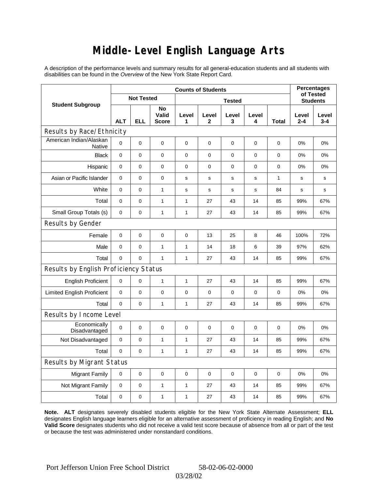## **Middle-Level English Language Arts**

A description of the performance levels and summary results for all general-education students and all students with disabilities can be found in the *Overview* of the New York State Report Card.

|                                          | <b>Counts of Students</b> |             |                             |              |             |            |             |                 | <b>Percentages</b><br>of Tested |                  |
|------------------------------------------|---------------------------|-------------|-----------------------------|--------------|-------------|------------|-------------|-----------------|---------------------------------|------------------|
| <b>Student Subgroup</b>                  | <b>Not Tested</b>         |             | <b>Tested</b>               |              |             |            |             | <b>Students</b> |                                 |                  |
|                                          | <b>ALT</b>                | <b>ELL</b>  | No<br>Valid<br><b>Score</b> | Level<br>1   | Level<br>2  | Level<br>3 | Level<br>4  | Total           | Level<br>$2 - 4$                | Level<br>$3 - 4$ |
| Results by Race/Ethnicity                |                           |             |                             |              |             |            |             |                 |                                 |                  |
| American Indian/Alaskan<br><b>Native</b> | 0                         | $\mathbf 0$ | $\mathbf 0$                 | 0            | $\mathbf 0$ | 0          | 0           | 0               | 0%                              | 0%               |
| <b>Black</b>                             | 0                         | 0           | $\pmb{0}$                   | $\pmb{0}$    | $\mathbf 0$ | 0          | $\mathbf 0$ | 0               | 0%                              | 0%               |
| Hispanic                                 | 0                         | 0           | $\mathbf 0$                 | 0            | $\mathbf 0$ | 0          | $\mathbf 0$ | 0               | 0%                              | 0%               |
| Asian or Pacific Islander                | $\mathbf 0$               | 0           | $\mathbf 0$                 | s            | $\mathbf S$ | s          | s           | $\mathbf{1}$    | s                               | s                |
| White                                    | 0                         | 0           | $\mathbf{1}$                | $\mathbf s$  | s           | s          | s           | 84              | s                               | s                |
| Total                                    | 0                         | 0           | $\mathbf{1}$                | 1            | 27          | 43         | 14          | 85              | 99%                             | 67%              |
| Small Group Totals (s)                   | $\mathbf 0$               | 0           | $\mathbf{1}$                | 1            | 27          | 43         | 14          | 85              | 99%                             | 67%              |
| Results by Gender                        |                           |             |                             |              |             |            |             |                 |                                 |                  |
| Female                                   | 0                         | $\mathsf 0$ | $\pmb{0}$                   | $\pmb{0}$    | 13          | 25         | 8           | 46              | 100%                            | 72%              |
| Male                                     | $\mathbf 0$               | 0           | $\mathbf{1}$                | $\mathbf{1}$ | 14          | 18         | 6           | 39              | 97%                             | 62%              |
| Total                                    | 0                         | 0           | $\mathbf{1}$                | $\mathbf{1}$ | 27          | 43         | 14          | 85              | 99%                             | 67%              |
| Results by English Proficiency Status    |                           |             |                             |              |             |            |             |                 |                                 |                  |
| <b>English Proficient</b>                | 0                         | 0           | $\mathbf{1}$                | $\mathbf{1}$ | 27          | 43         | 14          | 85              | 99%                             | 67%              |
| <b>Limited English Proficient</b>        | 0                         | 0           | $\mathbf 0$                 | $\pmb{0}$    | $\mathbf 0$ | 0          | 0           | 0               | 0%                              | 0%               |
| Total                                    | 0                         | 0           | $\mathbf{1}$                | $\mathbf{1}$ | 27          | 43         | 14          | 85              | 99%                             | 67%              |
| Results by Income Level                  |                           |             |                             |              |             |            |             |                 |                                 |                  |
| Economically<br>Disadvantaged            | 0                         | $\mathsf 0$ | $\mathbf 0$                 | $\mathbf 0$  | 0           | 0          | $\mathbf 0$ | 0               | 0%                              | 0%               |
| Not Disadvantaged                        | $\mathbf 0$               | 0           | $\mathbf{1}$                | $\mathbf{1}$ | 27          | 43         | 14          | 85              | 99%                             | 67%              |
| Total                                    | $\mathbf 0$               | $\mathbf 0$ | $\mathbf{1}$                | 1            | 27          | 43         | 14          | 85              | 99%                             | 67%              |
| Results by Migrant Status                |                           |             |                             |              |             |            |             |                 |                                 |                  |
| <b>Migrant Family</b>                    | $\mathbf 0$               | 0           | $\pmb{0}$                   | $\pmb{0}$    | $\mathbf 0$ | 0          | 0           | $\mathbf 0$     | 0%                              | 0%               |
| Not Migrant Family                       | 0                         | 0           | $\mathbf{1}$                | 1            | 27          | 43         | 14          | 85              | 99%                             | 67%              |
| Total                                    | 0                         | 0           | $\mathbf{1}$                | 1            | 27          | 43         | 14          | 85              | 99%                             | 67%              |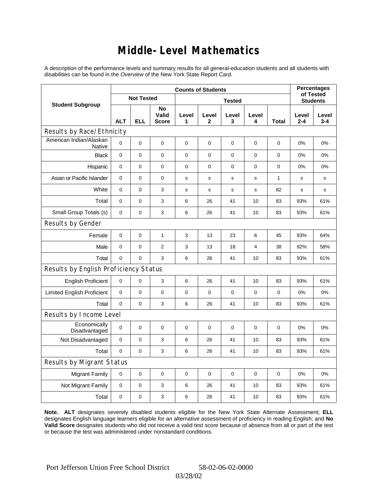### **Middle-Level Mathematics**

A description of the performance levels and summary results for all general-education students and all students with disabilities can be found in the *Overview* of the New York State Report Card.

|                                          | <b>Counts of Students</b> |             |                             |             |             |            |             |                 | <b>Percentages</b><br>of Tested |                  |
|------------------------------------------|---------------------------|-------------|-----------------------------|-------------|-------------|------------|-------------|-----------------|---------------------------------|------------------|
| <b>Student Subgroup</b>                  | <b>Not Tested</b>         |             | <b>Tested</b>               |             |             |            |             | <b>Students</b> |                                 |                  |
|                                          | <b>ALT</b>                | <b>ELL</b>  | No<br>Valid<br><b>Score</b> | Level<br>1  | Level<br>2  | Level<br>3 | Level<br>4  | Total           | Level<br>$2 - 4$                | Level<br>$3 - 4$ |
| Results by Race/Ethnicity                |                           |             |                             |             |             |            |             |                 |                                 |                  |
| American Indian/Alaskan<br><b>Native</b> | 0                         | $\mathbf 0$ | $\mathbf 0$                 | $\pmb{0}$   | 0           | 0          | 0           | 0               | 0%                              | 0%               |
| <b>Black</b>                             | 0                         | 0           | $\pmb{0}$                   | $\pmb{0}$   | $\mathbf 0$ | 0          | $\mathbf 0$ | 0               | 0%                              | 0%               |
| Hispanic                                 | 0                         | 0           | $\mathbf 0$                 | 0           | $\mathbf 0$ | 0          | $\mathbf 0$ | 0               | 0%                              | 0%               |
| Asian or Pacific Islander                | $\mathbf 0$               | 0           | $\mathbf 0$                 | s           | s           | s          | s           | $\mathbf{1}$    | s                               | s                |
| White                                    | 0                         | 0           | 3                           | $\mathbf s$ | s           | s          | s           | 82              | s                               | s                |
| Total                                    | 0                         | 0           | 3                           | 6           | 26          | 41         | 10          | 83              | 93%                             | 61%              |
| Small Group Totals (s)                   | $\mathbf 0$               | 0           | 3                           | 6           | 26          | 41         | 10          | 83              | 93%                             | 61%              |
| Results by Gender                        |                           |             |                             |             |             |            |             |                 |                                 |                  |
| Female                                   | 0                         | $\mathsf 0$ | $\mathbf{1}$                | 3           | 13          | 23         | 6           | 45              | 93%                             | 64%              |
| Male                                     | $\mathbf 0$               | 0           | $\overline{2}$              | 3           | 13          | 18         | 4           | 38              | 92%                             | 58%              |
| Total                                    | 0                         | 0           | 3                           | 6           | 26          | 41         | 10          | 83              | 93%                             | 61%              |
| Results by English Proficiency Status    |                           |             |                             |             |             |            |             |                 |                                 |                  |
| <b>English Proficient</b>                | 0                         | 0           | 3                           | 6           | 26          | 41         | 10          | 83              | 93%                             | 61%              |
| <b>Limited English Proficient</b>        | 0                         | 0           | $\mathbf 0$                 | $\pmb{0}$   | $\mathbf 0$ | 0          | 0           | 0               | 0%                              | 0%               |
| Total                                    | 0                         | 0           | 3                           | 6           | 26          | 41         | 10          | 83              | 93%                             | 61%              |
| Results by Income Level                  |                           |             |                             |             |             |            |             |                 |                                 |                  |
| Economically<br>Disadvantaged            | 0                         | $\mathsf 0$ | $\mathbf 0$                 | $\mathbf 0$ | 0           | 0          | $\mathbf 0$ | 0               | 0%                              | 0%               |
| Not Disadvantaged                        | $\mathbf 0$               | 0           | 3                           | 6           | 26          | 41         | 10          | 83              | 93%                             | 61%              |
| Total                                    | $\mathbf 0$               | $\mathbf 0$ | 3                           | 6           | 26          | 41         | 10          | 83              | 93%                             | 61%              |
| Results by Migrant Status                |                           |             |                             |             |             |            |             |                 |                                 |                  |
| <b>Migrant Family</b>                    | $\mathbf 0$               | 0           | $\pmb{0}$                   | $\pmb{0}$   | $\mathbf 0$ | 0          | 0           | $\mathbf 0$     | 0%                              | 0%               |
| Not Migrant Family                       | 0                         | 0           | 3                           | 6           | 26          | 41         | 10          | 83              | 93%                             | 61%              |
| Total                                    | 0                         | 0           | $\mathsf 3$                 | 6           | 26          | 41         | 10          | 83              | 93%                             | 61%              |